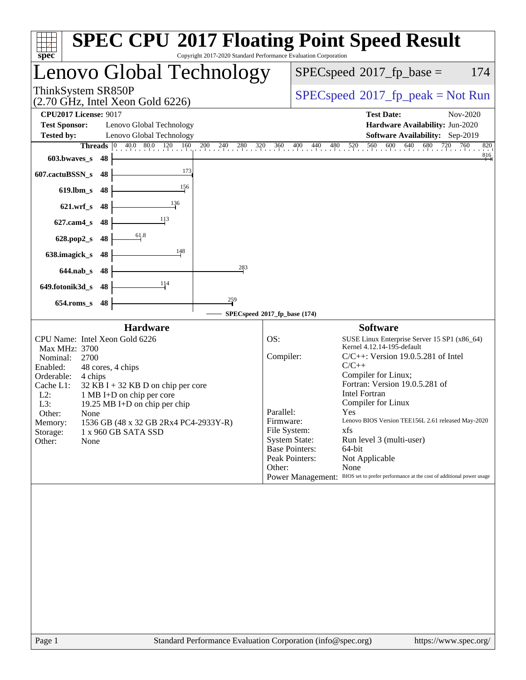| Copyright 2017-2020 Standard Performance Evaluation Corporation<br>$spec^*$                                                                                                                                                                                                                                                                                                                                     | <b>SPEC CPU®2017 Floating Point Speed Result</b>                                                                                                                                                                                                                                                                                                                                                                                                                                                                                                                                                                                  |
|-----------------------------------------------------------------------------------------------------------------------------------------------------------------------------------------------------------------------------------------------------------------------------------------------------------------------------------------------------------------------------------------------------------------|-----------------------------------------------------------------------------------------------------------------------------------------------------------------------------------------------------------------------------------------------------------------------------------------------------------------------------------------------------------------------------------------------------------------------------------------------------------------------------------------------------------------------------------------------------------------------------------------------------------------------------------|
| enovo Global Technology                                                                                                                                                                                                                                                                                                                                                                                         | $SPEC speed^{\circ}2017$ _fp_base =<br>174                                                                                                                                                                                                                                                                                                                                                                                                                                                                                                                                                                                        |
| ThinkSystem SR850P<br>$(2.70 \text{ GHz}, \text{Intel Xeon Gold } 6226)$                                                                                                                                                                                                                                                                                                                                        | $SPEC speed^{\circ}2017\_fp\_peak = Not Run$                                                                                                                                                                                                                                                                                                                                                                                                                                                                                                                                                                                      |
| <b>CPU2017 License: 9017</b><br><b>Test Sponsor:</b><br>Lenovo Global Technology<br>Lenovo Global Technology<br><b>Tested by:</b>                                                                                                                                                                                                                                                                               | <b>Test Date:</b><br>Nov-2020<br>Hardware Availability: Jun-2020<br>Software Availability: Sep-2019                                                                                                                                                                                                                                                                                                                                                                                                                                                                                                                               |
| <b>Threads</b> 0 40.0 80.0 120 160<br>$200 \t 240 \t 280 \t 320$<br>603.bwaves_s<br>-48<br>173<br>607.cactuBSSN_s<br>48<br>156<br>$619$ .lbm_s<br>48<br>136<br>$621.wrf$ s<br>48<br>113<br>$627$ .cam $4$ <sub>S</sub><br>48<br>61.8<br>48<br>$628.pop2_s$<br>148<br>638.imagick_s<br>48<br>283<br>$644$ .nab s<br>-48<br>114<br>649.fotonik3d_s<br>48<br>$\frac{259}{7}$<br>48<br>$654$ .roms s                | 560<br>640<br>680<br>720<br>760<br>360<br>520<br>600<br>820<br>360 400 440 480<br>$\frac{816}{ }$                                                                                                                                                                                                                                                                                                                                                                                                                                                                                                                                 |
|                                                                                                                                                                                                                                                                                                                                                                                                                 | SPECspeed®2017_fp_base (174)                                                                                                                                                                                                                                                                                                                                                                                                                                                                                                                                                                                                      |
| <b>Hardware</b><br>CPU Name: Intel Xeon Gold 6226<br>Max MHz: 3700<br>2700<br>Nominal:<br>Enabled:<br>48 cores, 4 chips<br>Orderable:<br>4 chips<br>Cache L1:<br>$32$ KB I + 32 KB D on chip per core<br>$L2$ :<br>1 MB I+D on chip per core<br>L3:<br>19.25 MB I+D on chip per chip<br>Other:<br>None<br>1536 GB (48 x 32 GB 2Rx4 PC4-2933Y-R)<br>Memory:<br>Storage:<br>1 x 960 GB SATA SSD<br>Other:<br>None | <b>Software</b><br>OS:<br>SUSE Linux Enterprise Server 15 SP1 (x86_64)<br>Kernel 4.12.14-195-default<br>Compiler:<br>$C/C++$ : Version 19.0.5.281 of Intel<br>$C/C++$<br>Compiler for Linux;<br>Fortran: Version 19.0.5.281 of<br><b>Intel Fortran</b><br>Compiler for Linux<br>Parallel:<br>Yes<br>Lenovo BIOS Version TEE156L 2.61 released May-2020<br>Firmware:<br>File System:<br>xfs<br><b>System State:</b><br>Run level 3 (multi-user)<br><b>Base Pointers:</b><br>64-bit<br>Peak Pointers:<br>Not Applicable<br>Other:<br>None<br>Power Management: BIOS set to prefer performance at the cost of additional power usage |
|                                                                                                                                                                                                                                                                                                                                                                                                                 |                                                                                                                                                                                                                                                                                                                                                                                                                                                                                                                                                                                                                                   |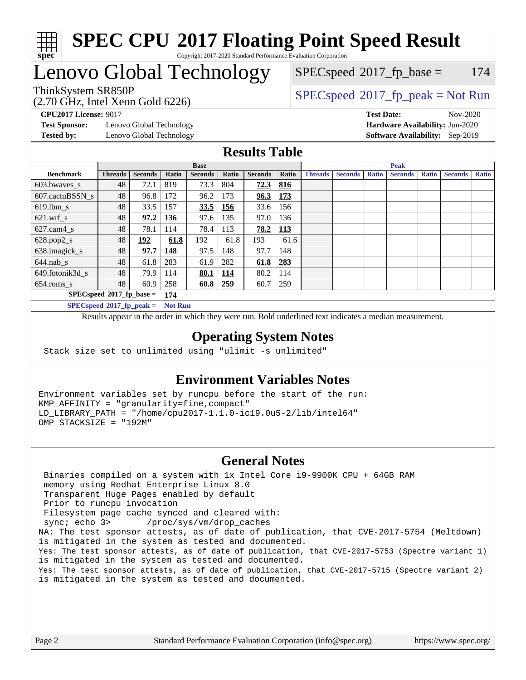

#### **[SPEC CPU](http://www.spec.org/auto/cpu2017/Docs/result-fields.html#SPECCPU2017FloatingPointSpeedResult)[2017 Floating Point Speed Result](http://www.spec.org/auto/cpu2017/Docs/result-fields.html#SPECCPU2017FloatingPointSpeedResult)** Copyright 2017-2020 Standard Performance Evaluation Corporation

### Lenovo Global Technology

(2.70 GHz, Intel Xeon Gold 6226)

 $SPECspeed^{\circledcirc}2017_fp\_base = 174$  $SPECspeed^{\circledcirc}2017_fp\_base = 174$ 

ThinkSystem SR850P<br>  $(2.70 \text{ GHz}_{\text{total}} \text{ Total} 6226)$  [SPECspeed](http://www.spec.org/auto/cpu2017/Docs/result-fields.html#SPECspeed2017fppeak)®[2017\\_fp\\_peak = N](http://www.spec.org/auto/cpu2017/Docs/result-fields.html#SPECspeed2017fppeak)ot Run

**[Test Sponsor:](http://www.spec.org/auto/cpu2017/Docs/result-fields.html#TestSponsor)** Lenovo Global Technology **[Hardware Availability:](http://www.spec.org/auto/cpu2017/Docs/result-fields.html#HardwareAvailability)** Jun-2020 **[Tested by:](http://www.spec.org/auto/cpu2017/Docs/result-fields.html#Testedby)** Lenovo Global Technology **[Software Availability:](http://www.spec.org/auto/cpu2017/Docs/result-fields.html#SoftwareAvailability)** Sep-2019

**[CPU2017 License:](http://www.spec.org/auto/cpu2017/Docs/result-fields.html#CPU2017License)** 9017 **[Test Date:](http://www.spec.org/auto/cpu2017/Docs/result-fields.html#TestDate)** Nov-2020

#### **[Results Table](http://www.spec.org/auto/cpu2017/Docs/result-fields.html#ResultsTable)**

|                                   | <b>Base</b>    |                |            |                |       |                | <b>Peak</b> |                |                |              |                |              |                |              |
|-----------------------------------|----------------|----------------|------------|----------------|-------|----------------|-------------|----------------|----------------|--------------|----------------|--------------|----------------|--------------|
| <b>Benchmark</b>                  | <b>Threads</b> | <b>Seconds</b> | Ratio      | <b>Seconds</b> | Ratio | <b>Seconds</b> | Ratio       | <b>Threads</b> | <b>Seconds</b> | <b>Ratio</b> | <b>Seconds</b> | <b>Ratio</b> | <b>Seconds</b> | <b>Ratio</b> |
| 603.bwayes s                      | 48             | 72.1           | 819        | 73.3           | 804   | 72.3           | 816         |                |                |              |                |              |                |              |
| 607.cactuBSSN s                   | 48             | 96.8           | 172        | 96.2           | 173   | 96.3           | 173         |                |                |              |                |              |                |              |
| $619.1$ bm s                      | 48             | 33.5           | 157        | 33.5           | 156   | 33.6           | 156         |                |                |              |                |              |                |              |
| $621$ .wrf s                      | 48             | 97.2           | <u>136</u> | 97.6           | 135   | 97.0           | 136         |                |                |              |                |              |                |              |
| $627$ .cam $4 \text{ s}$          | 48             | 78.1           | 114        | 78.4           | 113   | 78.2           | 113         |                |                |              |                |              |                |              |
| $628.pop2_s$                      | 48             | 192            | 61.8       | 192            | 61.8  | 193            | 61.6        |                |                |              |                |              |                |              |
| 638.imagick_s                     | 48             | 97.7           | 148        | 97.5           | 148   | 97.7           | 148         |                |                |              |                |              |                |              |
| $644$ .nab s                      | 48             | 61.8           | 283        | 61.9           | 282   | 61.8           | 283         |                |                |              |                |              |                |              |
| 649.fotonik3d_s                   | 48             | 79.9           | 114        | 80.1           | 114   | 80.2           | 114         |                |                |              |                |              |                |              |
| $654$ .roms s                     | 48             | 60.9           | 258        | 60.8           | 259   | 60.7           | 259         |                |                |              |                |              |                |              |
| $SPECspeed*2017_fp\_base =$       | 174            |                |            |                |       |                |             |                |                |              |                |              |                |              |
| $SPECspeed^{\circ}2017$ fp peak = |                | <b>Not Run</b> |            |                |       |                |             |                |                |              |                |              |                |              |

Results appear in the [order in which they were run.](http://www.spec.org/auto/cpu2017/Docs/result-fields.html#RunOrder) Bold underlined text [indicates a median measurement](http://www.spec.org/auto/cpu2017/Docs/result-fields.html#Median).

#### **[Operating System Notes](http://www.spec.org/auto/cpu2017/Docs/result-fields.html#OperatingSystemNotes)**

Stack size set to unlimited using "ulimit -s unlimited"

#### **[Environment Variables Notes](http://www.spec.org/auto/cpu2017/Docs/result-fields.html#EnvironmentVariablesNotes)**

Environment variables set by runcpu before the start of the run: KMP\_AFFINITY = "granularity=fine,compact" LD\_LIBRARY\_PATH = "/home/cpu2017-1.1.0-ic19.0u5-2/lib/intel64" OMP\_STACKSIZE = "192M"

#### **[General Notes](http://www.spec.org/auto/cpu2017/Docs/result-fields.html#GeneralNotes)**

 Binaries compiled on a system with 1x Intel Core i9-9900K CPU + 64GB RAM memory using Redhat Enterprise Linux 8.0 Transparent Huge Pages enabled by default Prior to runcpu invocation Filesystem page cache synced and cleared with: sync; echo 3> /proc/sys/vm/drop\_caches NA: The test sponsor attests, as of date of publication, that CVE-2017-5754 (Meltdown) is mitigated in the system as tested and documented. Yes: The test sponsor attests, as of date of publication, that CVE-2017-5753 (Spectre variant 1) is mitigated in the system as tested and documented. Yes: The test sponsor attests, as of date of publication, that CVE-2017-5715 (Spectre variant 2) is mitigated in the system as tested and documented.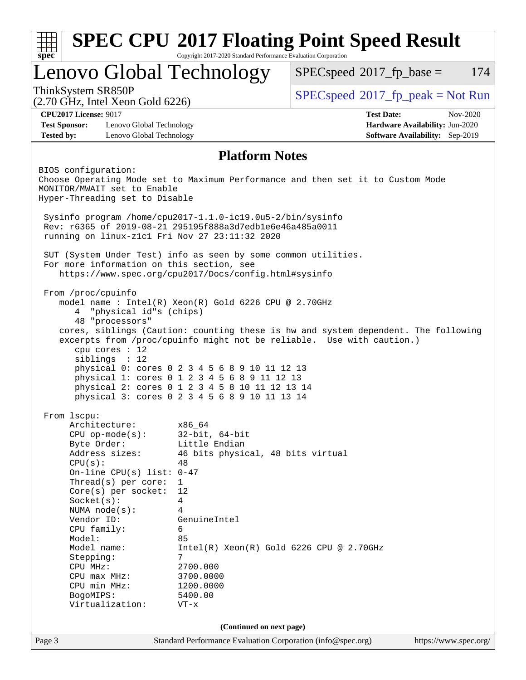|                                                                                                   | Lenovo Global Technology                                                                                                                                                                         | $SPEC speed^{\circ}2017\_fp\_base =$<br>174                                                                                                                 |  |  |  |  |
|---------------------------------------------------------------------------------------------------|--------------------------------------------------------------------------------------------------------------------------------------------------------------------------------------------------|-------------------------------------------------------------------------------------------------------------------------------------------------------------|--|--|--|--|
| ThinkSystem SR850P<br>$(2.70 \text{ GHz}, \text{Intel Xeon Gold } 6226)$                          |                                                                                                                                                                                                  | $SPEC speed^{\circ}2017\_fp\_peak = Not Run$                                                                                                                |  |  |  |  |
| <b>CPU2017 License: 9017</b>                                                                      |                                                                                                                                                                                                  | <b>Test Date:</b><br>Nov-2020                                                                                                                               |  |  |  |  |
| <b>Test Sponsor:</b><br>Lenovo Global Technology<br><b>Tested by:</b><br>Lenovo Global Technology |                                                                                                                                                                                                  | Hardware Availability: Jun-2020<br><b>Software Availability:</b> Sep-2019                                                                                   |  |  |  |  |
|                                                                                                   | <b>Platform Notes</b>                                                                                                                                                                            |                                                                                                                                                             |  |  |  |  |
| BIOS configuration:<br>MONITOR/MWAIT set to Enable<br>Hyper-Threading set to Disable              |                                                                                                                                                                                                  | Choose Operating Mode set to Maximum Performance and then set it to Custom Mode                                                                             |  |  |  |  |
|                                                                                                   | Sysinfo program /home/cpu2017-1.1.0-ic19.0u5-2/bin/sysinfo<br>Rev: r6365 of 2019-08-21 295195f888a3d7edble6e46a485a0011<br>running on linux-z1c1 Fri Nov 27 23:11:32 2020                        |                                                                                                                                                             |  |  |  |  |
| For more information on this section, see                                                         | SUT (System Under Test) info as seen by some common utilities.<br>https://www.spec.org/cpu2017/Docs/config.html#sysinfo                                                                          |                                                                                                                                                             |  |  |  |  |
| "physical id"s (chips)<br>4<br>48 "processors"<br>cpu cores $: 12$                                | model name : Intel(R) Xeon(R) Gold 6226 CPU @ 2.70GHz                                                                                                                                            | cores, siblings (Caution: counting these is hw and system dependent. The following<br>excerpts from /proc/cpuinfo might not be reliable. Use with caution.) |  |  |  |  |
| sibling: 12                                                                                       | physical 0: cores 0 2 3 4 5 6 8 9 10 11 12 13<br>physical 1: cores 0 1 2 3 4 5 6 8 9 11 12 13<br>physical 2: cores 0 1 2 3 4 5 8 10 11 12 13 14<br>physical 3: cores 0 2 3 4 5 6 8 9 10 11 13 14 |                                                                                                                                                             |  |  |  |  |
| From 1scpu:                                                                                       |                                                                                                                                                                                                  |                                                                                                                                                             |  |  |  |  |
| Architecture:<br>$CPU$ op-mode( $s$ ):<br>Byte Order:<br>Address sizes:<br>CPU(s):                | x86_64<br>$32$ -bit, $64$ -bit<br>Little Endian<br>46 bits physical, 48 bits virtual<br>48                                                                                                       |                                                                                                                                                             |  |  |  |  |
| On-line CPU(s) list: $0-47$<br>Thread(s) per core:<br>$Core(s)$ per socket:<br>Socket(s):         | $\mathbf{1}$<br>12<br>4<br>4                                                                                                                                                                     |                                                                                                                                                             |  |  |  |  |
| NUMA $node(s):$<br>Vendor ID:<br>CPU family:<br>Model:                                            | GenuineIntel<br>6<br>85                                                                                                                                                                          |                                                                                                                                                             |  |  |  |  |
| Model name:<br>Stepping:<br>CPU MHz:<br>CPU max MHz:<br>CPU min MHz:                              | $Intel(R) Xeon(R) Gold 6226 CPU @ 2.70GHz$<br>7<br>2700.000<br>3700.0000<br>1200.0000                                                                                                            |                                                                                                                                                             |  |  |  |  |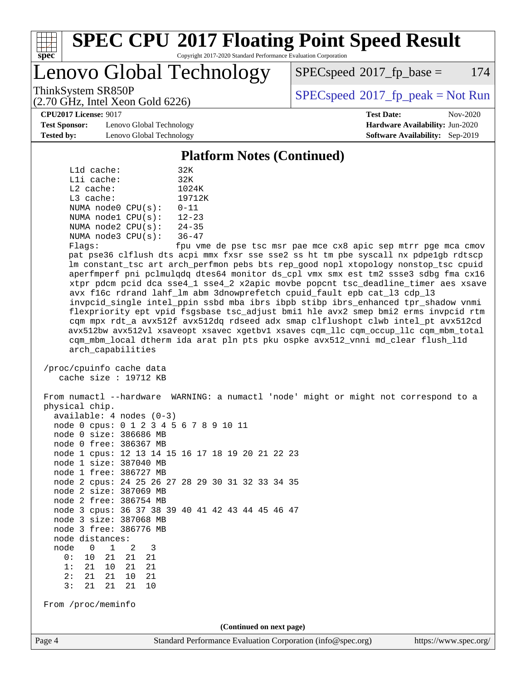

# **[SPEC CPU](http://www.spec.org/auto/cpu2017/Docs/result-fields.html#SPECCPU2017FloatingPointSpeedResult)[2017 Floating Point Speed Result](http://www.spec.org/auto/cpu2017/Docs/result-fields.html#SPECCPU2017FloatingPointSpeedResult)**

Copyright 2017-2020 Standard Performance Evaluation Corporation

Lenovo Global Technology

 $SPEC speed^{\circ}2017$  fp base = 174

ThinkSystem SR850P<br>  $SPECspeed^{\circ}2017\_fp\_peak = Not Run$  $SPECspeed^{\circ}2017\_fp\_peak = Not Run$ 

**[CPU2017 License:](http://www.spec.org/auto/cpu2017/Docs/result-fields.html#CPU2017License)** 9017 **[Test Date:](http://www.spec.org/auto/cpu2017/Docs/result-fields.html#TestDate)** Nov-2020

**[Test Sponsor:](http://www.spec.org/auto/cpu2017/Docs/result-fields.html#TestSponsor)** Lenovo Global Technology **[Hardware Availability:](http://www.spec.org/auto/cpu2017/Docs/result-fields.html#HardwareAvailability)** Jun-2020 **[Tested by:](http://www.spec.org/auto/cpu2017/Docs/result-fields.html#Testedby)** Lenovo Global Technology **[Software Availability:](http://www.spec.org/auto/cpu2017/Docs/result-fields.html#SoftwareAvailability)** Sep-2019

(2.70 GHz, Intel Xeon Gold 6226)

#### **[Platform Notes \(Continued\)](http://www.spec.org/auto/cpu2017/Docs/result-fields.html#PlatformNotes)**

|           | L1d cache:  |                         | 32K           |
|-----------|-------------|-------------------------|---------------|
|           | Lli cache:  |                         | 32K           |
|           | $L2$ cache: |                         | 1024K         |
| L3 cache: |             |                         | 19712K        |
|           |             | NUMA $node0$ $CPU(s)$ : | $0 - 11$      |
|           |             | NUMA nodel CPU(s):      | $12 - 23$     |
|           |             | NUMA $node2$ $CPU(s)$ : | $24 - 35$     |
|           |             | NUMA $node3$ $CPU(s)$ : | $36 - 47$     |
| --        |             |                         | $\sim$ $\sim$ |

Flags: fpu vme de pse tsc msr pae mce cx8 apic sep mtrr pge mca cmov pat pse36 clflush dts acpi mmx fxsr sse sse2 ss ht tm pbe syscall nx pdpe1gb rdtscp lm constant\_tsc art arch\_perfmon pebs bts rep\_good nopl xtopology nonstop\_tsc cpuid aperfmperf pni pclmulqdq dtes64 monitor ds\_cpl vmx smx est tm2 ssse3 sdbg fma cx16 xtpr pdcm pcid dca sse4\_1 sse4\_2 x2apic movbe popcnt tsc\_deadline\_timer aes xsave avx f16c rdrand lahf\_lm abm 3dnowprefetch cpuid\_fault epb cat\_l3 cdp\_l3 invpcid\_single intel\_ppin ssbd mba ibrs ibpb stibp ibrs\_enhanced tpr\_shadow vnmi flexpriority ept vpid fsgsbase tsc\_adjust bmi1 hle avx2 smep bmi2 erms invpcid rtm cqm mpx rdt\_a avx512f avx512dq rdseed adx smap clflushopt clwb intel\_pt avx512cd avx512bw avx512vl xsaveopt xsavec xgetbv1 xsaves cqm\_llc cqm\_occup\_llc cqm\_mbm\_total cqm\_mbm\_local dtherm ida arat pln pts pku ospke avx512\_vnni md\_clear flush\_l1d arch\_capabilities

 /proc/cpuinfo cache data cache size : 19712 KB

Page 4 Standard Performance Evaluation Corporation [\(info@spec.org\)](mailto:info@spec.org) <https://www.spec.org/> From numactl --hardware WARNING: a numactl 'node' might or might not correspond to a physical chip. available: 4 nodes (0-3) node 0 cpus: 0 1 2 3 4 5 6 7 8 9 10 11 node 0 size: 386686 MB node 0 free: 386367 MB node 1 cpus: 12 13 14 15 16 17 18 19 20 21 22 23 node 1 size: 387040 MB node 1 free: 386727 MB node 2 cpus: 24 25 26 27 28 29 30 31 32 33 34 35 node 2 size: 387069 MB node 2 free: 386754 MB node 3 cpus: 36 37 38 39 40 41 42 43 44 45 46 47 node 3 size: 387068 MB node 3 free: 386776 MB node distances: node 0 1 2 3 0: 10 21 21 21 1: 21 10 21 21 2: 21 21 10 21 3: 21 21 21 10 From /proc/meminfo **(Continued on next page)**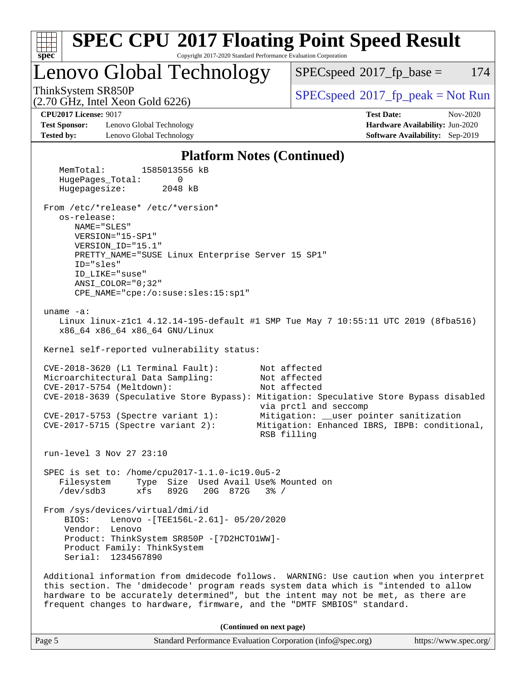

| Page 5 | Standard Performance Evaluation Corporation (info@spec.org) | https://www.spec.org/ |
|--------|-------------------------------------------------------------|-----------------------|
|        |                                                             |                       |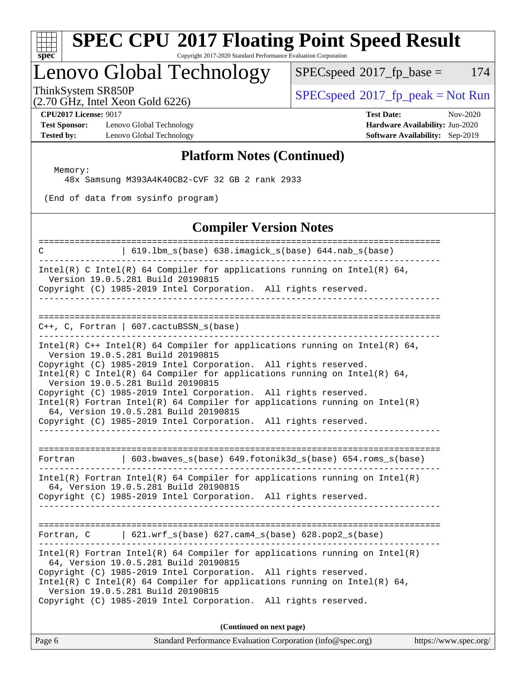

# **[SPEC CPU](http://www.spec.org/auto/cpu2017/Docs/result-fields.html#SPECCPU2017FloatingPointSpeedResult)[2017 Floating Point Speed Result](http://www.spec.org/auto/cpu2017/Docs/result-fields.html#SPECCPU2017FloatingPointSpeedResult)**

Copyright 2017-2020 Standard Performance Evaluation Corporation

# Lenovo Global Technology<br>ThinkSystem SR850P

 $SPECspeed^{\circ}2017_fp\_base = 174$  $SPECspeed^{\circ}2017_fp\_base = 174$ 

(2.70 GHz, Intel Xeon Gold 6226)

 $SPEC speed^{\circ}2017\_fp\_peak = Not Run$ 

**[Test Sponsor:](http://www.spec.org/auto/cpu2017/Docs/result-fields.html#TestSponsor)** Lenovo Global Technology **[Hardware Availability:](http://www.spec.org/auto/cpu2017/Docs/result-fields.html#HardwareAvailability)** Jun-2020 **[Tested by:](http://www.spec.org/auto/cpu2017/Docs/result-fields.html#Testedby)** Lenovo Global Technology **[Software Availability:](http://www.spec.org/auto/cpu2017/Docs/result-fields.html#SoftwareAvailability)** Sep-2019

**[CPU2017 License:](http://www.spec.org/auto/cpu2017/Docs/result-fields.html#CPU2017License)** 9017 **[Test Date:](http://www.spec.org/auto/cpu2017/Docs/result-fields.html#TestDate)** Nov-2020

#### **[Platform Notes \(Continued\)](http://www.spec.org/auto/cpu2017/Docs/result-fields.html#PlatformNotes)**

Memory:

48x Samsung M393A4K40CB2-CVF 32 GB 2 rank 2933

(End of data from sysinfo program)

#### **[Compiler Version Notes](http://www.spec.org/auto/cpu2017/Docs/result-fields.html#CompilerVersionNotes)**

| =====================================<br>C<br>  619.1bm_s(base) 638.imagick_s(base) 644.nab_s(base)<br>__________________________________                                                                                                                                                                                                                                                                                                                                                                                                                                                     |
|-----------------------------------------------------------------------------------------------------------------------------------------------------------------------------------------------------------------------------------------------------------------------------------------------------------------------------------------------------------------------------------------------------------------------------------------------------------------------------------------------------------------------------------------------------------------------------------------------|
| Intel(R) C Intel(R) 64 Compiler for applications running on Intel(R) 64,<br>Version 19.0.5.281 Build 20190815<br>Copyright (C) 1985-2019 Intel Corporation. All rights reserved.<br>________________                                                                                                                                                                                                                                                                                                                                                                                          |
|                                                                                                                                                                                                                                                                                                                                                                                                                                                                                                                                                                                               |
| $C++$ , C, Fortran   607.cactuBSSN_s(base)<br>. _ _ _ _ _ _ _ _ _ _ _ _ _ _ _                                                                                                                                                                                                                                                                                                                                                                                                                                                                                                                 |
| Intel(R) $C++$ Intel(R) 64 Compiler for applications running on Intel(R) 64,<br>Version 19.0.5.281 Build 20190815<br>Copyright (C) 1985-2019 Intel Corporation. All rights reserved.<br>Intel(R) C Intel(R) 64 Compiler for applications running on Intel(R) 64,<br>Version 19.0.5.281 Build 20190815<br>Copyright (C) 1985-2019 Intel Corporation. All rights reserved.<br>$Intel(R)$ Fortran Intel(R) 64 Compiler for applications running on Intel(R)<br>64, Version 19.0.5.281 Build 20190815<br>Copyright (C) 1985-2019 Intel Corporation. All rights reserved.<br>_____________________ |
| 603.bwaves_s(base) 649.fotonik3d_s(base) 654.roms_s(base)<br>Fortran                                                                                                                                                                                                                                                                                                                                                                                                                                                                                                                          |
| $Intel(R)$ Fortran Intel(R) 64 Compiler for applications running on Intel(R)<br>64, Version 19.0.5.281 Build 20190815<br>Copyright (C) 1985-2019 Intel Corporation. All rights reserved.                                                                                                                                                                                                                                                                                                                                                                                                      |
| Fortran, $C$   621.wrf_s(base) 627.cam4_s(base) 628.pop2_s(base)                                                                                                                                                                                                                                                                                                                                                                                                                                                                                                                              |
| $Intel(R)$ Fortran Intel(R) 64 Compiler for applications running on Intel(R)<br>64, Version 19.0.5.281 Build 20190815<br>Copyright (C) 1985-2019 Intel Corporation. All rights reserved.<br>Intel(R) C Intel(R) 64 Compiler for applications running on Intel(R) 64,<br>Version 19.0.5.281 Build 20190815<br>Copyright (C) 1985-2019 Intel Corporation. All rights reserved.                                                                                                                                                                                                                  |
| (Continued on next page)                                                                                                                                                                                                                                                                                                                                                                                                                                                                                                                                                                      |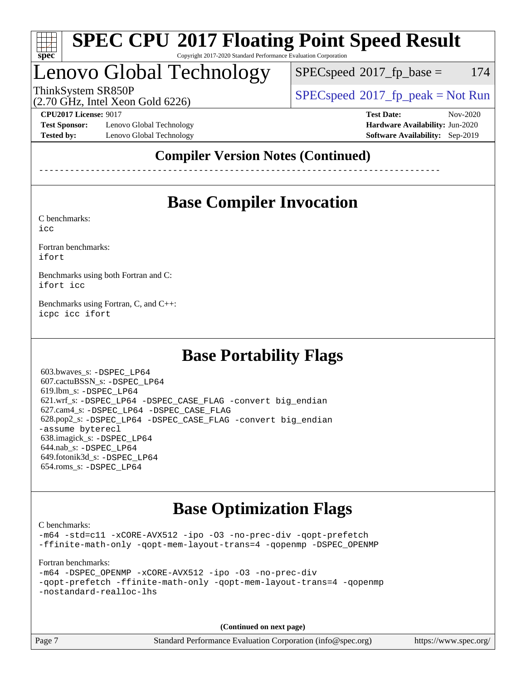

#### **[SPEC CPU](http://www.spec.org/auto/cpu2017/Docs/result-fields.html#SPECCPU2017FloatingPointSpeedResult)[2017 Floating Point Speed Result](http://www.spec.org/auto/cpu2017/Docs/result-fields.html#SPECCPU2017FloatingPointSpeedResult)** Copyright 2017-2020 Standard Performance Evaluation Corporation

### Lenovo Global Technology

 $SPEC speed^{\circ}2017\_fp\_base = 174$ 

ThinkSystem SR850P<br>  $(2.70 \text{ GHz. Intel Yes} \cdot \text{Cold } 6226)$  [SPECspeed](http://www.spec.org/auto/cpu2017/Docs/result-fields.html#SPECspeed2017fppeak)<sup>®</sup>[2017\\_fp\\_peak = N](http://www.spec.org/auto/cpu2017/Docs/result-fields.html#SPECspeed2017fppeak)ot Run

(2.70 GHz, Intel Xeon Gold 6226)

**[Test Sponsor:](http://www.spec.org/auto/cpu2017/Docs/result-fields.html#TestSponsor)** Lenovo Global Technology **[Hardware Availability:](http://www.spec.org/auto/cpu2017/Docs/result-fields.html#HardwareAvailability)** Jun-2020 **[Tested by:](http://www.spec.org/auto/cpu2017/Docs/result-fields.html#Testedby)** Lenovo Global Technology **[Software Availability:](http://www.spec.org/auto/cpu2017/Docs/result-fields.html#SoftwareAvailability)** Sep-2019

**[CPU2017 License:](http://www.spec.org/auto/cpu2017/Docs/result-fields.html#CPU2017License)** 9017 **[Test Date:](http://www.spec.org/auto/cpu2017/Docs/result-fields.html#TestDate)** Nov-2020

### **[Compiler Version Notes \(Continued\)](http://www.spec.org/auto/cpu2017/Docs/result-fields.html#CompilerVersionNotes)**

------------------------------------------------------------------------------

### **[Base Compiler Invocation](http://www.spec.org/auto/cpu2017/Docs/result-fields.html#BaseCompilerInvocation)**

[C benchmarks](http://www.spec.org/auto/cpu2017/Docs/result-fields.html#Cbenchmarks):

[icc](http://www.spec.org/cpu2017/results/res2020q4/cpu2017-20201207-24516.flags.html#user_CCbase_intel_icc_66fc1ee009f7361af1fbd72ca7dcefbb700085f36577c54f309893dd4ec40d12360134090235512931783d35fd58c0460139e722d5067c5574d8eaf2b3e37e92)

[Fortran benchmarks](http://www.spec.org/auto/cpu2017/Docs/result-fields.html#Fortranbenchmarks): [ifort](http://www.spec.org/cpu2017/results/res2020q4/cpu2017-20201207-24516.flags.html#user_FCbase_intel_ifort_8111460550e3ca792625aed983ce982f94888b8b503583aa7ba2b8303487b4d8a21a13e7191a45c5fd58ff318f48f9492884d4413fa793fd88dd292cad7027ca)

[Benchmarks using both Fortran and C](http://www.spec.org/auto/cpu2017/Docs/result-fields.html#BenchmarksusingbothFortranandC): [ifort](http://www.spec.org/cpu2017/results/res2020q4/cpu2017-20201207-24516.flags.html#user_CC_FCbase_intel_ifort_8111460550e3ca792625aed983ce982f94888b8b503583aa7ba2b8303487b4d8a21a13e7191a45c5fd58ff318f48f9492884d4413fa793fd88dd292cad7027ca) [icc](http://www.spec.org/cpu2017/results/res2020q4/cpu2017-20201207-24516.flags.html#user_CC_FCbase_intel_icc_66fc1ee009f7361af1fbd72ca7dcefbb700085f36577c54f309893dd4ec40d12360134090235512931783d35fd58c0460139e722d5067c5574d8eaf2b3e37e92)

[Benchmarks using Fortran, C, and C++:](http://www.spec.org/auto/cpu2017/Docs/result-fields.html#BenchmarksusingFortranCandCXX) [icpc](http://www.spec.org/cpu2017/results/res2020q4/cpu2017-20201207-24516.flags.html#user_CC_CXX_FCbase_intel_icpc_c510b6838c7f56d33e37e94d029a35b4a7bccf4766a728ee175e80a419847e808290a9b78be685c44ab727ea267ec2f070ec5dc83b407c0218cded6866a35d07) [icc](http://www.spec.org/cpu2017/results/res2020q4/cpu2017-20201207-24516.flags.html#user_CC_CXX_FCbase_intel_icc_66fc1ee009f7361af1fbd72ca7dcefbb700085f36577c54f309893dd4ec40d12360134090235512931783d35fd58c0460139e722d5067c5574d8eaf2b3e37e92) [ifort](http://www.spec.org/cpu2017/results/res2020q4/cpu2017-20201207-24516.flags.html#user_CC_CXX_FCbase_intel_ifort_8111460550e3ca792625aed983ce982f94888b8b503583aa7ba2b8303487b4d8a21a13e7191a45c5fd58ff318f48f9492884d4413fa793fd88dd292cad7027ca)

### **[Base Portability Flags](http://www.spec.org/auto/cpu2017/Docs/result-fields.html#BasePortabilityFlags)**

 603.bwaves\_s: [-DSPEC\\_LP64](http://www.spec.org/cpu2017/results/res2020q4/cpu2017-20201207-24516.flags.html#suite_basePORTABILITY603_bwaves_s_DSPEC_LP64) 607.cactuBSSN\_s: [-DSPEC\\_LP64](http://www.spec.org/cpu2017/results/res2020q4/cpu2017-20201207-24516.flags.html#suite_basePORTABILITY607_cactuBSSN_s_DSPEC_LP64) 619.lbm\_s: [-DSPEC\\_LP64](http://www.spec.org/cpu2017/results/res2020q4/cpu2017-20201207-24516.flags.html#suite_basePORTABILITY619_lbm_s_DSPEC_LP64) 621.wrf\_s: [-DSPEC\\_LP64](http://www.spec.org/cpu2017/results/res2020q4/cpu2017-20201207-24516.flags.html#suite_basePORTABILITY621_wrf_s_DSPEC_LP64) [-DSPEC\\_CASE\\_FLAG](http://www.spec.org/cpu2017/results/res2020q4/cpu2017-20201207-24516.flags.html#b621.wrf_s_baseCPORTABILITY_DSPEC_CASE_FLAG) [-convert big\\_endian](http://www.spec.org/cpu2017/results/res2020q4/cpu2017-20201207-24516.flags.html#user_baseFPORTABILITY621_wrf_s_convert_big_endian_c3194028bc08c63ac5d04de18c48ce6d347e4e562e8892b8bdbdc0214820426deb8554edfa529a3fb25a586e65a3d812c835984020483e7e73212c4d31a38223) 627.cam4\_s: [-DSPEC\\_LP64](http://www.spec.org/cpu2017/results/res2020q4/cpu2017-20201207-24516.flags.html#suite_basePORTABILITY627_cam4_s_DSPEC_LP64) [-DSPEC\\_CASE\\_FLAG](http://www.spec.org/cpu2017/results/res2020q4/cpu2017-20201207-24516.flags.html#b627.cam4_s_baseCPORTABILITY_DSPEC_CASE_FLAG) 628.pop2\_s: [-DSPEC\\_LP64](http://www.spec.org/cpu2017/results/res2020q4/cpu2017-20201207-24516.flags.html#suite_basePORTABILITY628_pop2_s_DSPEC_LP64) [-DSPEC\\_CASE\\_FLAG](http://www.spec.org/cpu2017/results/res2020q4/cpu2017-20201207-24516.flags.html#b628.pop2_s_baseCPORTABILITY_DSPEC_CASE_FLAG) [-convert big\\_endian](http://www.spec.org/cpu2017/results/res2020q4/cpu2017-20201207-24516.flags.html#user_baseFPORTABILITY628_pop2_s_convert_big_endian_c3194028bc08c63ac5d04de18c48ce6d347e4e562e8892b8bdbdc0214820426deb8554edfa529a3fb25a586e65a3d812c835984020483e7e73212c4d31a38223) [-assume byterecl](http://www.spec.org/cpu2017/results/res2020q4/cpu2017-20201207-24516.flags.html#user_baseFPORTABILITY628_pop2_s_assume_byterecl_7e47d18b9513cf18525430bbf0f2177aa9bf368bc7a059c09b2c06a34b53bd3447c950d3f8d6c70e3faf3a05c8557d66a5798b567902e8849adc142926523472) 638.imagick\_s: [-DSPEC\\_LP64](http://www.spec.org/cpu2017/results/res2020q4/cpu2017-20201207-24516.flags.html#suite_basePORTABILITY638_imagick_s_DSPEC_LP64) 644.nab\_s: [-DSPEC\\_LP64](http://www.spec.org/cpu2017/results/res2020q4/cpu2017-20201207-24516.flags.html#suite_basePORTABILITY644_nab_s_DSPEC_LP64) 649.fotonik3d\_s: [-DSPEC\\_LP64](http://www.spec.org/cpu2017/results/res2020q4/cpu2017-20201207-24516.flags.html#suite_basePORTABILITY649_fotonik3d_s_DSPEC_LP64) 654.roms\_s: [-DSPEC\\_LP64](http://www.spec.org/cpu2017/results/res2020q4/cpu2017-20201207-24516.flags.html#suite_basePORTABILITY654_roms_s_DSPEC_LP64)

### **[Base Optimization Flags](http://www.spec.org/auto/cpu2017/Docs/result-fields.html#BaseOptimizationFlags)**

[C benchmarks](http://www.spec.org/auto/cpu2017/Docs/result-fields.html#Cbenchmarks):

[-m64](http://www.spec.org/cpu2017/results/res2020q4/cpu2017-20201207-24516.flags.html#user_CCbase_m64-icc) [-std=c11](http://www.spec.org/cpu2017/results/res2020q4/cpu2017-20201207-24516.flags.html#user_CCbase_std-icc-std_0e1c27790398a4642dfca32ffe6c27b5796f9c2d2676156f2e42c9c44eaad0c049b1cdb667a270c34d979996257aeb8fc440bfb01818dbc9357bd9d174cb8524) [-xCORE-AVX512](http://www.spec.org/cpu2017/results/res2020q4/cpu2017-20201207-24516.flags.html#user_CCbase_f-xCORE-AVX512) [-ipo](http://www.spec.org/cpu2017/results/res2020q4/cpu2017-20201207-24516.flags.html#user_CCbase_f-ipo) [-O3](http://www.spec.org/cpu2017/results/res2020q4/cpu2017-20201207-24516.flags.html#user_CCbase_f-O3) [-no-prec-div](http://www.spec.org/cpu2017/results/res2020q4/cpu2017-20201207-24516.flags.html#user_CCbase_f-no-prec-div) [-qopt-prefetch](http://www.spec.org/cpu2017/results/res2020q4/cpu2017-20201207-24516.flags.html#user_CCbase_f-qopt-prefetch) [-ffinite-math-only](http://www.spec.org/cpu2017/results/res2020q4/cpu2017-20201207-24516.flags.html#user_CCbase_f_finite_math_only_cb91587bd2077682c4b38af759c288ed7c732db004271a9512da14a4f8007909a5f1427ecbf1a0fb78ff2a814402c6114ac565ca162485bbcae155b5e4258871) [-qopt-mem-layout-trans=4](http://www.spec.org/cpu2017/results/res2020q4/cpu2017-20201207-24516.flags.html#user_CCbase_f-qopt-mem-layout-trans_fa39e755916c150a61361b7846f310bcdf6f04e385ef281cadf3647acec3f0ae266d1a1d22d972a7087a248fd4e6ca390a3634700869573d231a252c784941a8) [-qopenmp](http://www.spec.org/cpu2017/results/res2020q4/cpu2017-20201207-24516.flags.html#user_CCbase_qopenmp_16be0c44f24f464004c6784a7acb94aca937f053568ce72f94b139a11c7c168634a55f6653758ddd83bcf7b8463e8028bb0b48b77bcddc6b78d5d95bb1df2967) [-DSPEC\\_OPENMP](http://www.spec.org/cpu2017/results/res2020q4/cpu2017-20201207-24516.flags.html#suite_CCbase_DSPEC_OPENMP)

[Fortran benchmarks](http://www.spec.org/auto/cpu2017/Docs/result-fields.html#Fortranbenchmarks):

[-m64](http://www.spec.org/cpu2017/results/res2020q4/cpu2017-20201207-24516.flags.html#user_FCbase_m64-icc) [-DSPEC\\_OPENMP](http://www.spec.org/cpu2017/results/res2020q4/cpu2017-20201207-24516.flags.html#suite_FCbase_DSPEC_OPENMP) [-xCORE-AVX512](http://www.spec.org/cpu2017/results/res2020q4/cpu2017-20201207-24516.flags.html#user_FCbase_f-xCORE-AVX512) [-ipo](http://www.spec.org/cpu2017/results/res2020q4/cpu2017-20201207-24516.flags.html#user_FCbase_f-ipo) [-O3](http://www.spec.org/cpu2017/results/res2020q4/cpu2017-20201207-24516.flags.html#user_FCbase_f-O3) [-no-prec-div](http://www.spec.org/cpu2017/results/res2020q4/cpu2017-20201207-24516.flags.html#user_FCbase_f-no-prec-div) [-qopt-prefetch](http://www.spec.org/cpu2017/results/res2020q4/cpu2017-20201207-24516.flags.html#user_FCbase_f-qopt-prefetch) [-ffinite-math-only](http://www.spec.org/cpu2017/results/res2020q4/cpu2017-20201207-24516.flags.html#user_FCbase_f_finite_math_only_cb91587bd2077682c4b38af759c288ed7c732db004271a9512da14a4f8007909a5f1427ecbf1a0fb78ff2a814402c6114ac565ca162485bbcae155b5e4258871) [-qopt-mem-layout-trans=4](http://www.spec.org/cpu2017/results/res2020q4/cpu2017-20201207-24516.flags.html#user_FCbase_f-qopt-mem-layout-trans_fa39e755916c150a61361b7846f310bcdf6f04e385ef281cadf3647acec3f0ae266d1a1d22d972a7087a248fd4e6ca390a3634700869573d231a252c784941a8) [-qopenmp](http://www.spec.org/cpu2017/results/res2020q4/cpu2017-20201207-24516.flags.html#user_FCbase_qopenmp_16be0c44f24f464004c6784a7acb94aca937f053568ce72f94b139a11c7c168634a55f6653758ddd83bcf7b8463e8028bb0b48b77bcddc6b78d5d95bb1df2967) [-nostandard-realloc-lhs](http://www.spec.org/cpu2017/results/res2020q4/cpu2017-20201207-24516.flags.html#user_FCbase_f_2003_std_realloc_82b4557e90729c0f113870c07e44d33d6f5a304b4f63d4c15d2d0f1fab99f5daaed73bdb9275d9ae411527f28b936061aa8b9c8f2d63842963b95c9dd6426b8a)

**(Continued on next page)**

Page 7 Standard Performance Evaluation Corporation [\(info@spec.org\)](mailto:info@spec.org) <https://www.spec.org/>